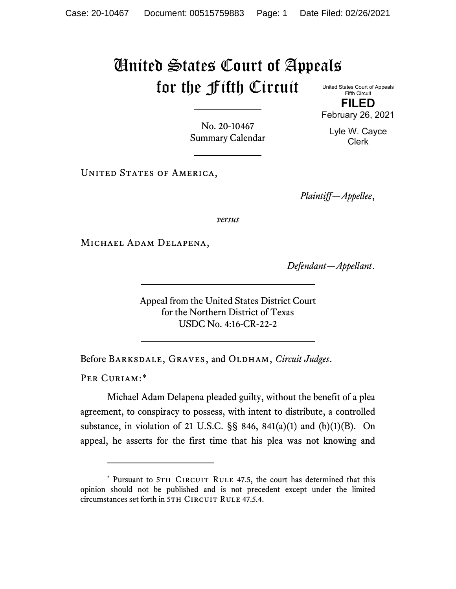## United States Court of Appeals for the Fifth Circuit

United States Court of Appeals Fifth Circuit

**FILED** February 26, 2021

Lyle W. Cayce Clerk

No. 20-10467 Summary Calendar

UNITED STATES OF AMERICA,

*Plaintiff—Appellee*,

*versus*

Michael Adam Delapena,

*Defendant—Appellant*.

Appeal from the United States District Court for the Northern District of Texas USDC No. 4:16-CR-22-2

Before Barksdale, Graves, and Oldham, *Circuit Judges*.

PER CURIAM:[\\*](#page-0-0)

Michael Adam Delapena pleaded guilty, without the benefit of a plea agreement, to conspiracy to possess, with intent to distribute, a controlled substance, in violation of 21 U.S.C.  $\S$ § 846, 841(a)(1) and (b)(1)(B). On appeal, he asserts for the first time that his plea was not knowing and

<span id="page-0-0"></span><sup>\*</sup> Pursuant to 5TH CIRCUIT RULE 47.5, the court has determined that this opinion should not be published and is not precedent except under the limited circumstances set forth in 5TH CIRCUIT RULE 47.5.4.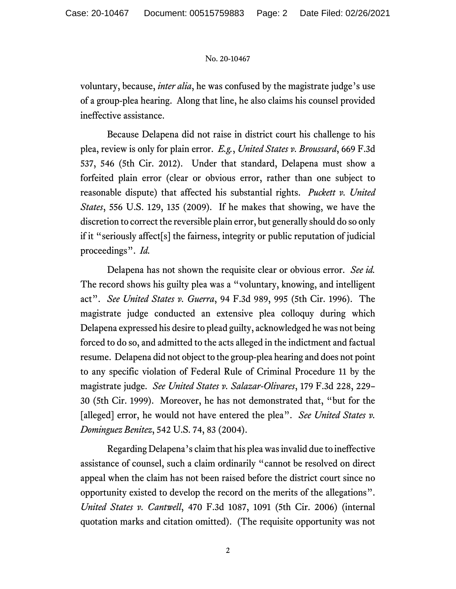## No. 20-10467

voluntary, because, *inter alia*, he was confused by the magistrate judge's use of a group-plea hearing. Along that line, he also claims his counsel provided ineffective assistance.

Because Delapena did not raise in district court his challenge to his plea, review is only for plain error. *E.g.*, *United States v. Broussard*, 669 F.3d 537, 546 (5th Cir. 2012). Under that standard, Delapena must show a forfeited plain error (clear or obvious error, rather than one subject to reasonable dispute) that affected his substantial rights. *Puckett v. United States*, 556 U.S. 129, 135 (2009). If he makes that showing, we have the discretion to correct the reversible plain error, but generally should do so only if it "seriously affect[s] the fairness, integrity or public reputation of judicial proceedings". *Id.*

Delapena has not shown the requisite clear or obvious error. *See id.* The record shows his guilty plea was a "voluntary, knowing, and intelligent act". *See United States v. Guerra*, 94 F.3d 989, 995 (5th Cir. 1996). The magistrate judge conducted an extensive plea colloquy during which Delapena expressed his desire to plead guilty, acknowledged he was not being forced to do so, and admitted to the acts alleged in the indictment and factual resume. Delapena did not object to the group-plea hearing and does not point to any specific violation of Federal Rule of Criminal Procedure 11 by the magistrate judge. *See United States v. Salazar-Olivares*, 179 F.3d 228, 229– 30 (5th Cir. 1999). Moreover, he has not demonstrated that, "but for the [alleged] error, he would not have entered the plea". *See United States v. Dominguez Benitez*, 542 U.S. 74, 83 (2004).

Regarding Delapena's claim that his plea was invalid due to ineffective assistance of counsel, such a claim ordinarily "cannot be resolved on direct appeal when the claim has not been raised before the district court since no opportunity existed to develop the record on the merits of the allegations". *United States v. Cantwell*, 470 F.3d 1087, 1091 (5th Cir. 2006) (internal quotation marks and citation omitted). (The requisite opportunity was not